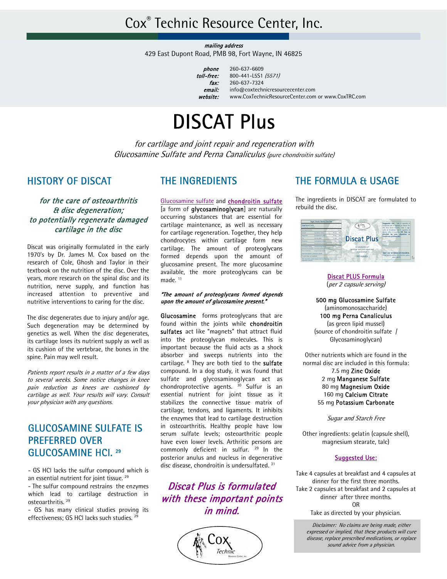mailing address

429 East Dupont Road, PMB 98, Fort Wayne, IN 46825

phone toll-free: fax: email: website:

260-637-6609 800-441-L5S1 (5571) 260-637-7324 info@coxtechnicresourcecenter.com www.CoxTechnicResourceCenter.com or www.CoxTRC.com

# DISCAT Plus

for cartilage and joint repair and regeneration with Glucosamine Sulfate and Perna Canaliculus (pure chondroitin sulfate)

### HISTORY OF DISCAT

for the care of osteoarthritis & disc degeneration; to potentially regenerate damaged cartilage in the disc

Discat was originally formulated in the early 1970's by Dr. James M. Cox based on the research of Cole, Ghosh and Taylor in their textbook on the nutrition of the disc. Over the years, more research on the spinal disc and its nutrition, nerve supply, and function has increased attention to preventive and nutritive interventions to caring for the disc.

The disc degenerates due to injury and/or age. Such degeneration may be determined by genetics as well. When the disc degenerates, its cartilage loses its nutrient supply as well as its cushion of the vertebrae, the bones in the spine. Pain may well result.

Patients report results in a matter of a few days to several weeks. Some notice changes in knee pain reduction as knees are cushioned by cartilage as well. Your results will vary. Consult your physician with any questions.

## GLUCOSAMINE SULFATE IS PREFERRED OVER GLUCOSAMINE HCl. 29

- GS HCl lacks the sulfur compound which is an essential nutrient for joint tissue.<sup>29</sup>

- The sulfur compound restrains the enzymes which lead to cartilage destruction in osteoarthritis. 29

- GS has many clinical studies proving its effectiveness; GS HCl lacks such studies.<sup>29</sup>

### THE INGREDIENTS

Glucosamine sulfate and chondroitin sulfate [a form of glycosaminoglycan] are naturally occurring substances that are essential for cartilage maintenance, as well as necessary for cartilage regeneration. Together, they help chondrocytes within cartilage form new cartilage. The amount of proteoglycans formed depends upon the amount of glucosamine present. The more glucosamine available, the more proteoglycans can be made.<sup>11</sup>

#### "The amount of proteoglycans formed depends upon the amount of glucosamine present."

Glucosamine forms proteoglycans that are found within the joints while chondroitin sulfates act like "magnets" that attract fluid into the proteoglycan molecules. This is important because the fluid acts as a shock absorber and sweeps nutrients into the cartilage. <sup>8</sup> They are both tied to the sulfate compound. In a dog study, it was found that sulfate and glycosaminoglycan act as chondroprotective agents.  $30$  Sulfur is an essential nutrient for joint tissue as it stabilizes the connective tissue matrix of cartilage, tendons, and ligaments. It inhibits the enzymes that lead to cartilage destruction in osteoarthritis. Healthy people have low serum sulfate levels; osteoarthritic people have even lower levels. Arthritic persons are commonly deficient in sulfur. <sup>29</sup> In the posterior anulus and nucleus in degenerative disc disease, chondroitin is undersulfated.<sup>31</sup>

Discat Plus is formulated with these important points in mind.



## THE FORMULA & USAGE

The ingredients in DISCAT are formulated to rebuild the disc.



Discat PLUS Formula (per 2 capsule serving)

500 mg Glucosamine Sulfate (aminomonosaccharide) 100 mg Perna Canaliculus (as green lipid mussel) (source of chondroitin sulfate / Glycosaminoglycan)

Other nutrients which are found in the normal disc are included in this formula: 7.5 mg Zinc Oxide

2 mg Manganese Sulfate 80 mg Magnesium Oxide 160 mg Calcium Citrate 55 mg Potassium Carbonate

Sugar and Starch Free

Other ingredients: gelatin (capsule shell), magnesium stearate, talc)

#### Suggested Use:

Take 4 capsules at breakfast and 4 capsules at dinner for the first three months. Take 2 capsules at breakfast and 2 capsules at dinner after three months. OR

Take as directed by your physician.

Disclaimer: No claims are being made, either expressed or implied, that these products will cure disease, replace prescribed medications, or replace sound advice from a physician.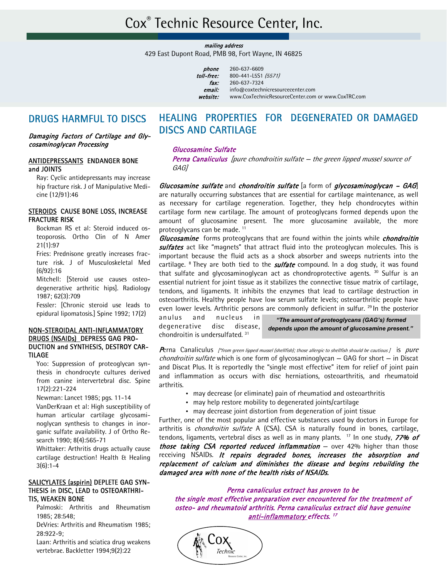mailing address

429 East Dupont Road, PMB 98, Fort Wayne, IN 46825

| phone      | 260-637-6609                                       |
|------------|----------------------------------------------------|
| toll-free: | 800-441-L5S1 (5571)                                |
| fax:       | 260-637-7324                                       |
| email:     | info@coxtechnicresourcecenter.com                  |
| website:   | www.CoxTechnicResourceCenter.com or www.CoxTRC.com |
|            |                                                    |

### DRUGS HARMFUL TO DISCS

#### Damaging Factors of Cartilage and Glycosaminoglycan Processing

#### ANTIDEPRESSANTS ENDANGER BONE and JOINTS

 Ray: Cyclic antidepressants may increase hip fracture risk. J of Manipulative Medicine (12/91):46

#### STEROIDS CAUSE BONE LOSS, INCREASE FRACTURE RISK

 Bockman RS et al: Steroid induced osteoporosis. Ortho Clin of N Amer 21(1):97

 Fries: Prednisone greatly increases fracture risk. J of Musculoskeletal Med (6/92):16

 Mitchell: [Steroid use causes osteodegenerative arthritic hips]. Radiology 1987; 62(3):709

 Fessler: [Chronic steroid use leads to epidural lipomatosis.] Spine 1992; 17(2)

#### NON-STEROIDAL ANTI-INFLAMMATORY DRUGS (NSAIDs) DEPRESS GAG PRO-DUCTION and SYNTHESIS, DESTROY CAR-TILAGE

 Yoo: Suppression of proteoglycan synthesis in chondrocyte cultures derived from canine intervertebral disc. Spine 17(2):221-224

Newman: Lancet 1985; pgs. 11-14

 VanDerKraan et al: High susceptibility of human articular cartilage glycosaminoglycan synthesis to changes in inorganic sulfate availability. J of Ortho Research 1990; 8(4):565-71

 Whittaker: Arthritis drugs actually cause cartilage destruction! Health & Healing 3(6):1-4

#### SALICYLATES (aspirin) DEPLETE GAG SYN-THESIS in DISC, LEAD to OSTEOARTHRI-TIS, WEAKEN BONE

 Palmoski: Arthritis and Rheumatism 1985; 28:548;

 DeVries: Arthritis and Rheumatism 1985; 28:922-9;

 Laan: Arthritis and sciatica drug weakens vertebrae. Backletter 1994;9(2):22

## HEALING PROPERTIES FOR DEGENERATED OR DAMAGED DISCS AND CARTILAGE

#### Glucosamine Sulfate

Perna Canaliculus [pure chondroitin sulfate – the green lipped mussel source of GAG]

Glucosamine sulfate and chondroitin sulfate [a form of glycosaminoglycan  $-$  GAG] are naturally occurring substances that are essential for cartilage maintenance, as well as necessary for cartilage regeneration. Together, they help chondrocytes within cartilage form new cartilage. The amount of proteoglycans formed depends upon the amount of glucosamine present. The more glucosamine available, the more proteoglycans can be made.<sup>11</sup>

**Glucosamine** forms proteoglycans that are found within the joints while *chondroitin* sulfates act like "magnets" that attract fluid into the proteoglycan molecules. This is important because the fluid acts as a shock absorber and sweeps nutrients into the cartilage. <sup>8</sup> They are both tied to the **sulfate** compound. In a dog study, it was found that sulfate and glycosaminoglycan act as chondroprotective agents. <sup>30</sup> Sulfur is an essential nutrient for joint tissue as it stabilizes the connective tissue matrix of cartilage, tendons, and ligaments. It inhibits the enzymes that lead to cartilage destruction in osteoarthritis. Healthy people have low serum sulfate levels; osteoarthritic people have even lower levels. Arthritic persons are commonly deficient in sulfur. <sup>29</sup> In the posterior

anulus and nucleus in degenerative disc disease, chondroitin is undersulfated. 31

*"The amount of proteoglycans (GAG's) formed depends upon the amount of glucosamine present."* 

Perna Canaliculus [\*from green lipped mussel (shellfish); those allergic to shellfish should be cautious  $j$  is pure *chondroitin sulfate* which is one form of glycosaminoglycan  $-$  GAG for short  $-$  in Discat and Discat Plus. It is reportedly the "single most effective" item for relief of joint pain and inflammation as occurs with disc herniations, osteoarthritis, and rheumatoid arthritis.

- may decrease (or eliminate) pain of rheumatiod and osteoarthritis
- may help restore mobility to degenerated joints/cartilage
- may decrease joint distortion from degeneration of joint tissue

Further, one of the most popular and effective substances used by doctors in Europe for arthritis is *chondroitin sulfate* A (CSA). CSA is naturally found in bones, cartilage, tendons, ligaments, vertebral discs as well as in many plants. <sup>17</sup> In one study, **77% of** those taking CSA reported reduced inflammation  $-$  over 42% higher than those receiving NSAIDs. It repairs degraded bones, increases the absorption and replacement of calcium and diminishes the disease and begins rebuilding the damaged area with none of the health risks of NSAIDs.

Perna canaliculus extract has proven to be the single most effective preparation ever encountered for the treatment of osteo- and rheumatoid arthritis. Perna canaliculus extract did have genuine anti-inflammatory effects.<sup>17</sup>

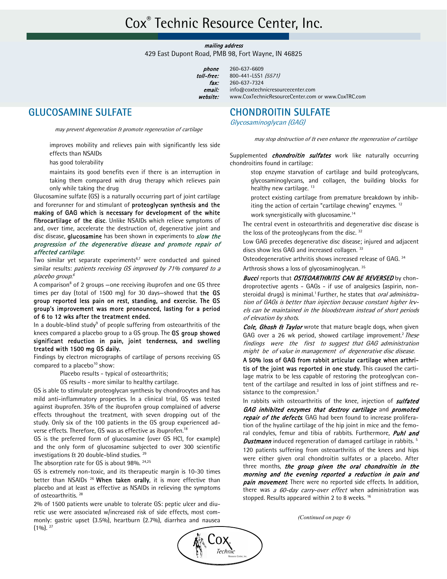mailing address

429 East Dupont Road, PMB 98, Fort Wayne, IN 46825

260-637-6609 800-441-L5S1 (5571) 260-637-7324

phone toll-free: fax: email: website:

## GLUCOSAMINE SULFATE

may prevent degeneration & promote regeneration of cartilage

 improves mobility and relieves pain with significantly less side effects than NSAIDs

has good tolerability

 maintains its good benefits even if there is an interruption in taking them compared with drug therapy which relieves pain only while taking the drug

 Glucosamine sulfate (GS) is a naturally occurring part of joint cartilage and forerunner for and stimulant of proteoglycan synthesis and the making of GAG which is necessary for development of the white fibrocartilage of the disc. Unlike NSAIDs which relieve symptoms of and, over time, accelerate the destruction of, degenerative joint and disc disease, glucosamine has been shown in experiments to slow the progression of the degenerative disease and promote repair of affected cartilage:

Two similar yet separate experiments<sup>6,7</sup> were conducted and gained similar results: patients receiving GS improved by 71% compared to a placebo group.<sup>6</sup>

A comparison<sup>8</sup> of 2 groups – one receiving ibuprofen and one GS three times per day (total of 1500 mg) for 30 days-showed that the GS group reported less pain on rest, standing, and exercise. The GS group's improvement was more pronounced, lasting for a period of 6 to 12 wks after the treatment ended.

In a double-blind study<sup>9</sup> of people suffering from osteoarthritis of the knees compared a placebo group to a GS group. The GS group showed significant reduction in pain, joint tenderness, and swelling treated with 1500 mg GS daily.

 Findings by electron micrographs of cartilage of persons receiving GS compared to a placebo<sup>10</sup> show:

Placebo results - typical of osteoarthritis;

GS results - more similar to healthy cartilage.

 GS is able to stimulate proteoglycan synthesis by chondrocytes and has mild anti-inflammatory properties. In a clinical trial, GS was tested against ibuprofen. 35% of the ibuprofen group complained of adverse effects throughout the treatment, with seven dropping out of the study. Only six of the 100 patients in the GS group experienced adverse effects. Therefore, GS was as effective as ibuprofen.18

 GS is the preferred form of glucosamine (over GS HCl, for example) and the only form of glucosamine subjected to over 300 scientific investigations & 20 double-blind studies. 29

The absorption rate for GS is about 98%. 24,25

 GS is extremely non-toxic, and its therapeutic margin is 10-30 times better than NSAIDs<sup>26</sup> When taken orally, it is more effective than placebo and at least as effective as NSAIDs in relieving the symptoms of osteoarthritis. 28

 2% of 1500 patients were unable to tolerate GS: peptic ulcer and diuretic use were associated w/increased risk of side effects, most commonly: gastric upset (3.5%), heartburn (2.7%), diarrhea and nausea  $(1\%)$ .  $^{27}$ 

## CHONDROITIN SULFATE

www.CoxTechnicResourceCenter.com or www.CoxTRC.com

Glycosaminoglycan (GAG)

info@coxtechnicresourcecenter.com

may stop destruction of & even enhance the regeneration of cartilage

Supplemented *chondroitin sulfates* work like naturally occurring chondroitins found in cartilage:

 stop enzyme starvation of cartilage and build proteoglycans, glycosaminoglycans, and collagen, the building blocks for healthy new cartilage.<sup>13</sup>

 protect existing cartilage from premature breakdown by inhibiting the action of certain "cartilage chewing" enzymes.<sup>12</sup>

work synergistically with glucosamine.14

 The central event in osteoarthritis and degenerative disc disease is the loss of the proteoglycans from the disc.<sup>32</sup>

 Low GAG precedes degenerative disc disease; injured and adjacent discs show less GAG and increased collagen. 33

Osteodegenerative arthritis shows increased release of GAG. 34

Arthrosis shows a loss of glycosaminoglycan. 35

Bucci reports that OSTEOARTHRITIS CAN BE REVERSED by chondroprotective agents - GAGs - if use of analgesics (aspirin, nonsteroidal drugs) is minimal.<sup>1</sup> Further, he states that *oral administra*tion of GAGs is better than injection because constant higher levels can be maintained in the bloodstream instead of short periods of elevation by shots.

Cole, Ghosh & Taylor wrote that mature beagle dogs, when given GAG over a 26 wk period, showed cartilage improvement.<sup>2</sup> These findings were the first to suggest that GAG administration might be of value in management of degenerative disc disease.

 A 50% loss of GAG from rabbit articular cartilage when arthritis of the joint was reported in one study. This caused the cartilage matrix to be less capable of restoring the proteoglycan content of the cartilage and resulted in loss of joint stiffness and resistance to the compression.<sup>3</sup>

In rabbits with osteoarthritis of the knee, injection of *sulfated* GAG inhibited enzymes that destroy cartilage and promoted repair of the defects. GAG had been found to increase proliferation of the hyaline cartilage of the hip joint in mice and the femoral condyles, femur and tibia of rabbits. Furthermore, Puhl and **Dustmann** induced regeneration of damaged cartilage in rabbits.<sup>5</sup>

 120 patients suffering from osteoarthritis of the knees and hips were either given oral chondroitin sulfates or a placebo. After three months, the group given the oral chondroitin in the morning and the evening reported a reduction in pain and pain movement. There were no reported side effects. In addition, there was a  $60$ -day carry-over effect when administration was stopped. Results appeared within 2 to 8 weeks. <sup>16</sup>

*(Continued on page 4)* 

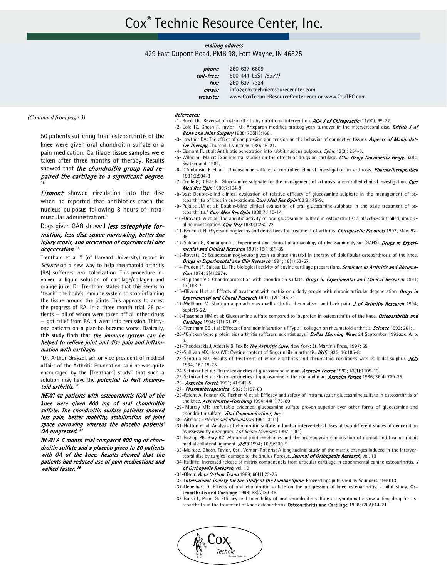#### mailing address

429 East Dupont Road, PMB 98, Fort Wayne, IN 46825

| phone      | 260-637-6609                                       |
|------------|----------------------------------------------------|
| toll-free: | 800-441-L5S1 (5571)                                |
| fax:       | 260-637-7324                                       |
| email:     | info@coxtechnicresourcecenter.com                  |
| website:   | www.CoxTechnicResourceCenter.com or www.CoxTRC.com |
|            |                                                    |

*(Continued from page 3)* 

 50 patients suffering from osteoarthritis of the knee were given oral chondroitin sulfate or a pain medication. Cartilage tissue samples were taken after three months of therapy. Results showed that the chondroitin group had repaired the cartilage to a significant degree.

**Eismont** showed circulation into the disc when he reported that antibiotics reach the nucleus pulposus following 8 hours of intramuscular administration.4

#### Dogs given GAG showed *less osteophyte for*mation, less disc space narrowing, better disc injury repair, and prevention of experimental disc degeneration.<sup>36</sup>

Trentham et al <sup>19</sup> (of Harvard University) report in Science on a new way to help rheumatoid arthritis (RA) sufferers: oral tolerization. This procedure involved a liquid solution of cartilage/collagen and orange juice. Dr. Trentham states that this seems to "teach" the body's immune system to stop inflaming the tissue around the joints. This appears to arrest the progress of RA. In a three month trial, 28 patients — all of whom were taken off all other drugs — got relief from RA; 4 went into remission. Thirtyone patients on a placebo became worse. Basically, this study finds that the immune system can be helped to relieve joint and disc pain and inflammation with cartilage.

 "Dr. Arthur Grayzel, senior vice president of medical affairs of the Arthritis Foundation, said he was quite encouraged by the [Trentham] study" that such a solution may have the **potential to halt rheuma**toid arthritis.<sup>20</sup>

 NEW! 42 patients with osteoarthritis (OA) of the knee were given 800 mg of oral chondroitin sulfate. The chondroitin sulfate patients showed less pain, better mobility, stabilization of joint space narrowing whereas the placebo patients' OA progressed. <sup>37</sup>

 NEW! A 6 month trial compared 800 mg of chondroitin sulfate and a placebo given to 80 patients with OA of the knee. Results showed that the patients had reduced use of pain medications and walked faster.<sup>38</sup>

#### References:

- -1- Bucci LR: Reversal of osteoarthritis by nutritional intervention. ACA J of Chiropractic (11/90): 69-72.
- -2- Cole TC, Ghosh P, Taylor TKF: Arteparon modifies proteoglycan turnover in the intervertebral disc. British J of Bone and Joint Surgery 1988; 70B(1):166.
- -3- Lowther DA: The effect of compression and tension on the behavior of connective tissues. Aspects of Manipulative Therapy, Churchill Livinstone 1985:16-21.
- -4- Eismont FL et al: Antibiotic penetration into rabbit nucleus pulposus. Spine 12(3): 254-6.
- -5- Wilhelmi, Maier: Experimental studies on the effects of drugs on cartilage. Ciba Geigy Documenta Geigy, Basle, Switzerland, 1982.
- -6- D'Ambrosio E et al: Glucosamine sulfate: a controlled clinical investigation in arthrosis. *Pharmatherapeutica* 1981;2:504-8
- -7- Crolle G. D'Este E: Glucosamine sulphate for the management of arthrosis: a controlled clinical investigation. Curr Med Res Opin 1980;7:104-9
- -8- Vaz: Double-blind clinical evaluation of relative efficacy of glucosamine sulphate in the management of osteoarthritis of knee in out-patients. Curr Med Res Opin '82;8:145-9.
- -9- Pujalte JM et al: Double-blind clinical evaluation of oral glucosamine sulphate in the basic treatment of osteoarthritis." Curr Med Res Opin 1980;7:110-14
- -10-Drovanti A et al: Therapeutic activity of oral glucosamine sulfate in osteoarthritis: a placebo-controlled, doubleblind investigation. *Clin Ther* 1980;3:260-72
- -11-Benedikt H: Glycosaminoglycans and derivatives for treatment of arthritis. Chiropractic Products 1997; May: 92-95
- -12-Soldani G, Romangnoli J: Experiment and clinical pharmacology of glycosaminoglycan (GAGS). Drugs in Experimental and Clinical Research 1991; 18(1):81-85.
- -13-Rovetta G: Galactosaminoglycuronglycan sulphate (matrix) in therapy of tibiofibular osteoarthrosis of the knee. Drugs in Experimental and Clin Research 1991; 18(1):53-57.
- -14-Pruden JF, Balassa LL: The biological activity of bovine cartilage preparations. Seminars in Arthritis and Rheumatism 1974; 3(4):287+.
- -15-Pepitone VR: Chondroprotection with chondroitin sulfate. Drugs in Experimental and Clinical Research 1991; 17(1):3-7.
- -16-Olivero U et al: Effects of treatment with matrix on elderly people with chronic articular degeneration. Drugs in Experimental and Clincal Research 1991: 17(1):45-51.
- -17-Wellburn M: Shotgun approach may quell arthritis, rheumatism, and back pain! J of Arthritis Research 1994; Sept:15-22.
- -18-Fassender HM et al: Glucosamine sulfate compared to ibuprofen in osteoarthritis of the knee. Osteoarthritis and Cartilage 1994; 2(1):61-69.
- -19-Trentham DE et al: Effects of oral administration of Type II collagen on rheumatoid arthritis. **Science** 1993; 261: . -20-"Chicken bone protein aids arthritis sufferers, scientist says." Dallas Morning News 24 September 1993:sec. A, p. 6.
- -21-Theodosakis J, Adderly B, Fox B: The Arthritis Cure. New York: St. Martin's Press, 1997: 55.
- -22-Sullivan MX, Hess WC: Cystine content of finger nails in arthritis. JBJS 1935; 16:185-8.
- -23-Senturia BD: Results of treatment of chronic arthritis and rheumatoid conditions with colloidal sulphur. JBJS 1934; 16:119-25.
- -24-Setnikar I et al: Pharmacokinetics of glucosamine in man. Arzneim Forsch 1993; 43(1):1109-13.
- -25-Setnikar I et al: Pharmacokinetics of glucosamine in the dog and man. Arzneim Forsch 1986; 36(4):729-35.
- -26- **Arzneim Forsch** 1991; 41:542-5
- -27- Pharmatherapeutica 1982; 3:157-68
- -28-Reicht A, Forster KK, FIscher M et al: Efficacy and safety of intramuscular glucosamine sulfate in osteoarthritis of the knee. Arzneimittle-Foschung 1994; 44(1):75-80
- -29- Murray MT: Irrefutable evidence: glucosamine sulfate proven superior over other forms of glucosamine and chondroitin sulfate. Vital Communications, Inc.
- -30-Aitman: Arthritis and Rheumatism 1991; 31(1)
- -31-Hutton et al: Analysis of chondroitin sulfate in lumbar intervertebral discs at two different stages of degneration as assessed by discogram. J of Spinal Disorders 1997; 10(1)
- -32-Bishop PB, Bray RC: Abnormal joint mechanics and the proteoglycan composition of normal and healing rabbit medial collateral ligament. JMPT 1994; 16(5):300-5
- -33-Melrose, Ghosh, Taylor, Osti, Vernon-Roberts: A longitudinal study of the matrix changes induced in the intervertebral disc by surgical damage to the anulus fibrosus. Journal of Orthopedic Research, vol. 10
- -34-Ratliffe: Increased release of matrix componenets from articular cartilage in experimental canine osteoarthritis. J of Orthopedic Research, vol. 10
- -35-Olsen: Acta Orthop Scand 1989; 60(1):23-25
- -36-Internaional Society for the Study of the Lumbar Spine. Proceedings published by Saunders. 1990:13. -37-Uebelhart D: Effects of oral chondroitin sulfate on the progression of knee osteoarthritis: a pilot study. Os-
- teoarthritis and Cartilage 1998; 68(A):39-46 -38-Bucci L, Poor, G: Efficacy and tolerability of oral chondroitin sulfate as symptomatic slow-acting drug for osteoarthritis in the treatment of knee osteoarthritis. Osteoarthritis and Cartilage 1998; 68(A):14-21

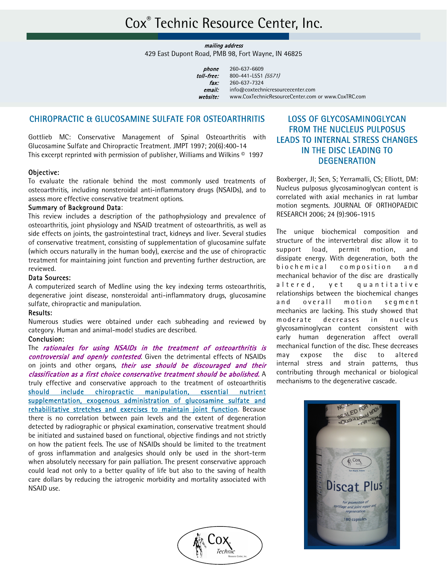mailing address

429 East Dupont Road, PMB 98, Fort Wayne, IN 46825

| phone      | 260-637-6609                                       |
|------------|----------------------------------------------------|
| toll-free: | 800-441-L5S1 (5571)                                |
| fax:       | 260-637-7324                                       |
| email:     | info@coxtechnicresourcecenter.com                  |
| website:   | www.CoxTechnicResourceCenter.com or www.CoxTRC.com |
|            |                                                    |

#### CHIROPRACTIC & GLUCOSAMINE SULFATE FOR OSTEOARTHRITIS

Gottlieb MC: Conservative Management of Spinal Osteoarthritis with Glucosamine Sulfate and Chiropractic Treatment. JMPT 1997; 20(6):400-14 This excerpt reprinted with permission of publisher, Williams and Wilkins  $\circ$  1997

#### Objective:

To evaluate the rationale behind the most commonly used treatments of osteoarthritis, including nonsteroidal anti-inflammatory drugs (NSAIDs), and to assess more effective conservative treatment options.

#### Summary of Background Data:

This review includes a description of the pathophysiology and prevalence of osteoarthritis, joint physiology and NSAID treatment of osteoarthritis, as well as side effects on joints, the gastrointestinal tract, kidneys and liver. Several studies of conservative treatment, consisting of supplementation of glucosamine sulfate (which occurs naturally in the human body), exercise and the use of chiropractic treatment for maintaining joint function and preventing further destruction, are reviewed.

#### Data Sources:

A computerized search of Medline using the key indexing terms osteoarthritis, degenerative joint disease, nonsteroidal anti-inflammatory drugs, glucosamine sulfate, chiropractic and manipulation.

#### Results:

Numerous studies were obtained under each subheading and reviewed by category. Human and animal-model studies are described.

#### Conclusion:

The rationales for using NSAIDs in the treatment of osteoarthritis is controversial and openly contested. Given the detrimental effects of NSAIDs on joints and other organs, their use should be discouraged and their classification as a first choice conservative treatment should be abolished. A truly effective and conservative approach to the treatment of osteoarthritis should include chiropractic manipulation, essential nutrient supplementation, exogenous administration of glucosamine sulfate and rehabilitative stretches and exercises to maintain joint function. Because there is no correlation between pain levels and the extent of degeneration detected by radiographic or physical examination, conservative treatment should be initiated and sustained based on functional, objective findings and not strictly on how the patient feels. The use of NSAIDs should be limited to the treatment of gross inflammation and analgesics should only be used in the short-term when absolutely necessary for pain palliation. The present conservative approach could lead not only to a better quality of life but also to the saving of health care dollars by reducing the iatrogenic morbidity and mortality associated with NSAID use.



### LOSS OF GLYCOSAMINOGLYCAN FROM THE NUCLEUS PULPOSUS LEADS TO INTERNAL STRESS CHANGES IN THE DISC LEADING TO **DEGENERATION**

Boxberger, JI; Sen, S; Yerramalli, CS; Elliott, DM: Nucleus pulposus glycosaminoglycan content is correlated with axial mechanics in rat lumbar motion segments. JOURNAL OF ORTHOPAEDIC RESEARCH 2006; 24 (9):906-1915

The unique biochemical composition and structure of the intervertebral disc allow it to support load, permit motion, and dissipate energy. With degeneration, both the biochemical composition and mechanical behavior of the disc are drastically altered, yet quantitative relationships between the biochemical changes and overall motion segment mechanics are lacking. This study showed that moderate decreases in nucleus glycosaminoglycan content consistent with early human degeneration affect overall mechanical function of the disc. These decreases may expose the disc to altered internal stress and strain patterns, thus contributing through mechanical or biological mechanisms to the degenerative cascade.